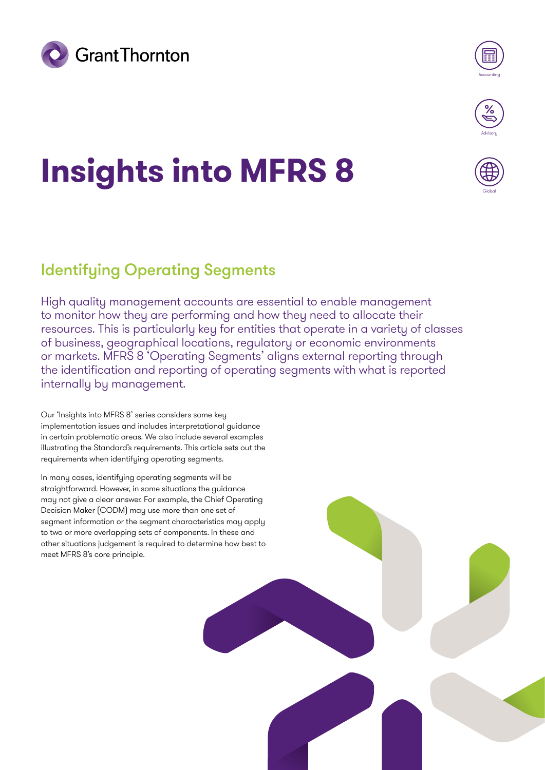



Globa

# **Insights into MFRS 8**

## Identifying Operating Segments

High quality management accounts are essential to enable management to monitor how they are performing and how they need to allocate their resources. This is particularly key for entities that operate in a variety of classes of business, geographical locations, regulatory or economic environments or markets. MFRS 8 'Operating Segments' aligns external reporting through the identification and reporting of operating segments with what is reported internally by management.

Our 'Insights into MFRS 8' series considers some key implementation issues and includes interpretational guidance in certain problematic areas. We also include several examples illustrating the Standard's requirements. This article sets out the requirements when identifying operating segments.

In many cases, identifying operating segments will be straightforward. However, in some situations the guidance may not give a clear answer. For example, the Chief Operating Decision Maker (CODM) may use more than one set of segment information or the segment characteristics may apply to two or more overlapping sets of components. In these and other situations judgement is required to determine how best to meet MFRS 8's core principle.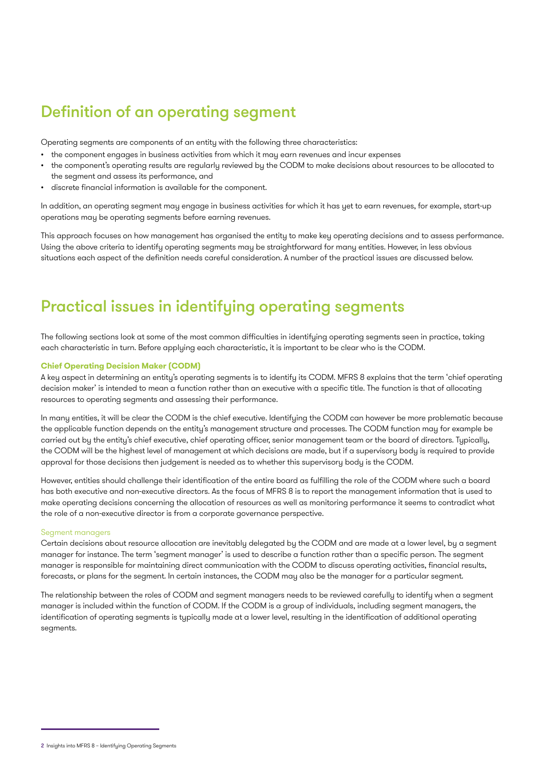## Definition of an operating segment

Operating segments are components of an entity with the following three characteristics:

- the component engages in business activities from which it may earn revenues and incur expenses
- the component's operating results are regularly reviewed by the CODM to make decisions about resources to be allocated to the segment and assess its performance, and
- discrete financial information is available for the component.

In addition, an operating segment may engage in business activities for which it has yet to earn revenues, for example, start-up operations may be operating segments before earning revenues.

This approach focuses on how management has organised the entity to make key operating decisions and to assess performance. Using the above criteria to identify operating segments may be straightforward for many entities. However, in less obvious situations each aspect of the definition needs careful consideration. A number of the practical issues are discussed below.

## Practical issues in identifying operating segments

The following sections look at some of the most common difficulties in identifying operating segments seen in practice, taking each characteristic in turn. Before applying each characteristic, it is important to be clear who is the CODM.

#### **Chief Operating Decision Maker (CODM)**

A key aspect in determining an entity's operating segments is to identify its CODM. MFRS 8 explains that the term 'chief operating decision maker' is intended to mean a function rather than an executive with a specific title. The function is that of allocating resources to operating segments and assessing their performance.

In many entities, it will be clear the CODM is the chief executive. Identifying the CODM can however be more problematic because the applicable function depends on the entity's management structure and processes. The CODM function may for example be carried out by the entity's chief executive, chief operating officer, senior management team or the board of directors. Typically, the CODM will be the highest level of management at which decisions are made, but if a supervisory body is required to provide approval for those decisions then judgement is needed as to whether this supervisory body is the CODM.

However, entities should challenge their identification of the entire board as fulfilling the role of the CODM where such a board has both executive and non-executive directors. As the focus of MFRS 8 is to report the management information that is used to make operating decisions concerning the allocation of resources as well as monitoring performance it seems to contradict what the role of a non-executive director is from a corporate governance perspective.

#### Segment managers

Certain decisions about resource allocation are inevitably delegated by the CODM and are made at a lower level, by a segment manager for instance. The term 'segment manager' is used to describe a function rather than a specific person. The segment manager is responsible for maintaining direct communication with the CODM to discuss operating activities, financial results, forecasts, or plans for the segment. In certain instances, the CODM may also be the manager for a particular segment.

The relationship between the roles of CODM and segment managers needs to be reviewed carefully to identify when a segment manager is included within the function of CODM. If the CODM is a group of individuals, including segment managers, the identification of operating segments is typically made at a lower level, resulting in the identification of additional operating segments.

<sup>2</sup> Insights into MFRS 8 – Identifying Operating Segments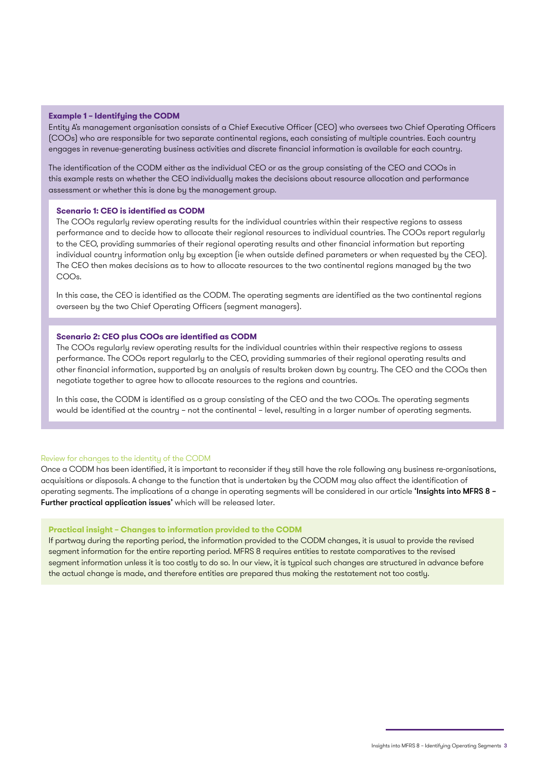#### **Example 1 – Identifying the CODM**

Entity A's management organisation consists of a Chief Executive Officer (CEO) who oversees two Chief Operating Officers (COOs) who are responsible for two separate continental regions, each consisting of multiple countries. Each country engages in revenue-generating business activities and discrete financial information is available for each country.

The identification of the CODM either as the individual CEO or as the group consisting of the CEO and COOs in this example rests on whether the CEO individually makes the decisions about resource allocation and performance assessment or whether this is done by the management group.

#### **Scenario 1: CEO is identified as CODM**

The COOs regularly review operating results for the individual countries within their respective regions to assess performance and to decide how to allocate their regional resources to individual countries. The COOs report regularly to the CEO, providing summaries of their regional operating results and other financial information but reporting individual country information only by exception (ie when outside defined parameters or when requested by the CEO). The CEO then makes decisions as to how to allocate resources to the two continental regions managed by the two COOs.

In this case, the CEO is identified as the CODM. The operating segments are identified as the two continental regions overseen by the two Chief Operating Officers (segment managers).

#### **Scenario 2: CEO plus COOs are identified as CODM**

The COOs regularly review operating results for the individual countries within their respective regions to assess performance. The COOs report regularly to the CEO, providing summaries of their regional operating results and other financial information, supported by an analysis of results broken down by country. The CEO and the COOs then negotiate together to agree how to allocate resources to the regions and countries.

In this case, the CODM is identified as a group consisting of the CEO and the two COOs. The operating segments would be identified at the country – not the continental – level, resulting in a larger number of operating segments.

#### Review for changes to the identity of the CODM

Once a CODM has been identified, it is important to reconsider if they still have the role following any business re-organisations, acquisitions or disposals. A change to the function that is undertaken by the CODM may also affect the identification of operating segments. The implications of a change in operating segments will be considered in our article 'Insights into MFRS 8 – Further practical application issues' which will be released later.

#### **Practical insight – Changes to information provided to the CODM**

If partway during the reporting period, the information provided to the CODM changes, it is usual to provide the revised segment information for the entire reporting period. MFRS 8 requires entities to restate comparatives to the revised segment information unless it is too costly to do so. In our view, it is typical such changes are structured in advance before the actual change is made, and therefore entities are prepared thus making the restatement not too costly.

Insights into MFRS 8 – Identifying Operating Segments 3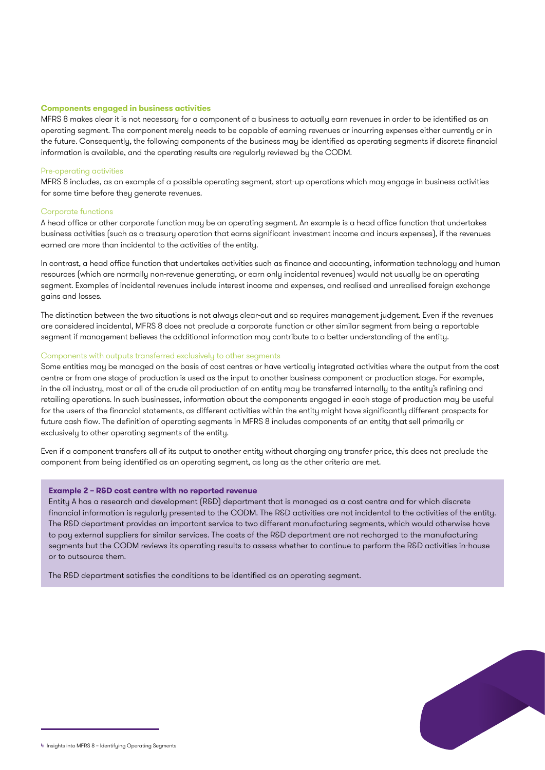#### **Components engaged in business activities**

MFRS 8 makes clear it is not necessary for a component of a business to actually earn revenues in order to be identified as an operating segment. The component merely needs to be capable of earning revenues or incurring expenses either currently or in the future. Consequently, the following components of the business may be identified as operating segments if discrete financial information is available, and the operating results are regularly reviewed by the CODM.

#### Pre-operating activities

MFRS 8 includes, as an example of a possible operating segment, start-up operations which may engage in business activities for some time before they generate revenues.

#### Corporate functions

A head office or other corporate function may be an operating segment. An example is a head office function that undertakes business activities (such as a treasury operation that earns significant investment income and incurs expenses), if the revenues earned are more than incidental to the activities of the entity.

In contrast, a head office function that undertakes activities such as finance and accounting, information technology and human resources (which are normally non-revenue generating, or earn only incidental revenues) would not usually be an operating segment. Examples of incidental revenues include interest income and expenses, and realised and unrealised foreign exchange gains and losses.

The distinction between the two situations is not always clear-cut and so requires management judgement. Even if the revenues are considered incidental, MFRS 8 does not preclude a corporate function or other similar segment from being a reportable segment if management believes the additional information may contribute to a better understanding of the entity.

#### Components with outputs transferred exclusively to other segments

Some entities may be managed on the basis of cost centres or have vertically integrated activities where the output from the cost centre or from one stage of production is used as the input to another business component or production stage. For example, in the oil industry, most or all of the crude oil production of an entity may be transferred internally to the entity's refining and retailing operations. In such businesses, information about the components engaged in each stage of production may be useful for the users of the financial statements, as different activities within the entity might have significantly different prospects for future cash flow. The definition of operating segments in MFRS 8 includes components of an entity that sell primarily or exclusively to other operating segments of the entity.

Even if a component transfers all of its output to another entity without charging any transfer price, this does not preclude the component from being identified as an operating segment, as long as the other criteria are met.

#### **Example 2 – R&D cost centre with no reported revenue**

Entity A has a research and development (R&D) department that is managed as a cost centre and for which discrete financial information is regularly presented to the CODM. The R&D activities are not incidental to the activities of the entity. The R&D department provides an important service to two different manufacturing segments, which would otherwise have to pay external suppliers for similar services. The costs of the R&D department are not recharged to the manufacturing segments but the CODM reviews its operating results to assess whether to continue to perform the R&D activities in-house or to outsource them.

The R&D department satisfies the conditions to be identified as an operating segment.



<sup>4</sup> Insights into MFRS 8 – Identifying Operating Segments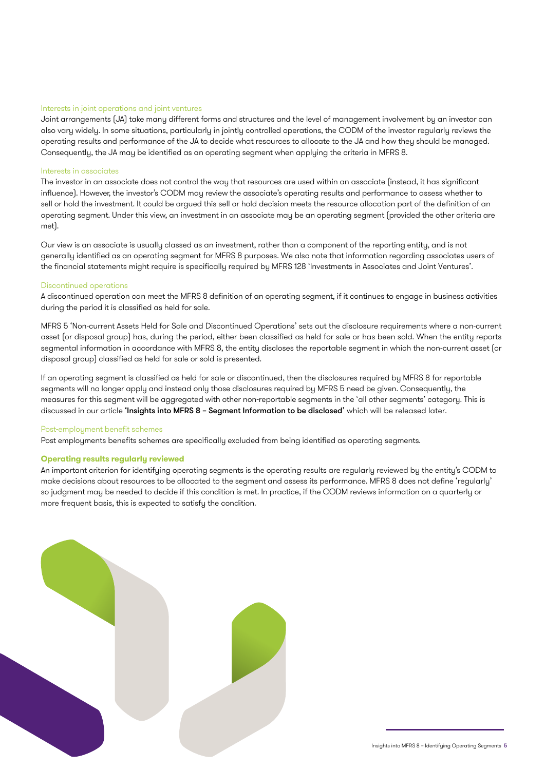#### Interests in joint operations and joint ventures

Joint arrangements (JA) take many different forms and structures and the level of management involvement by an investor can also vary widely. In some situations, particularly in jointly controlled operations, the CODM of the investor regularly reviews the operating results and performance of the JA to decide what resources to allocate to the JA and how they should be managed. Consequently, the JA may be identified as an operating segment when applying the criteria in MFRS 8.

#### Interests in associates

The investor in an associate does not control the way that resources are used within an associate (instead, it has significant influence). However, the investor's CODM may review the associate's operating results and performance to assess whether to sell or hold the investment. It could be argued this sell or hold decision meets the resource allocation part of the definition of an operating segment. Under this view, an investment in an associate may be an operating segment (provided the other criteria are met).

Our view is an associate is usually classed as an investment, rather than a component of the reporting entity, and is not generally identified as an operating segment for MFRS 8 purposes. We also note that information regarding associates users of the financial statements might require is specifically required by MFRS 128 'Investments in Associates and Joint Ventures'.

#### Discontinued operations

A discontinued operation can meet the MFRS 8 definition of an operating segment, if it continues to engage in business activities during the period it is classified as held for sale.

MFRS 5 'Non-current Assets Held for Sale and Discontinued Operations' sets out the disclosure requirements where a non-current asset (or disposal group) has, during the period, either been classified as held for sale or has been sold. When the entity reports segmental information in accordance with MFRS 8, the entity discloses the reportable segment in which the non-current asset (or disposal group) classified as held for sale or sold is presented.

If an operating segment is classified as held for sale or discontinued, then the disclosures required by MFRS 8 for reportable segments will no longer apply and instead only those disclosures required by MFRS 5 need be given. Consequently, the measures for this segment will be aggregated with other non-reportable segments in the 'all other segments' category. This is discussed in our article 'Insights into MFRS 8 - Segment Information to be disclosed' which will be released later.

#### Post-employment benefit schemes

Post employments benefits schemes are specifically excluded from being identified as operating segments.

#### **Operating results regularly reviewed**

An important criterion for identifying operating segments is the operating results are regularly reviewed by the entity's CODM to make decisions about resources to be allocated to the segment and assess its performance. MFRS 8 does not define 'regularly' so judgment may be needed to decide if this condition is met. In practice, if the CODM reviews information on a quarterly or more frequent basis, this is expected to satisfy the condition.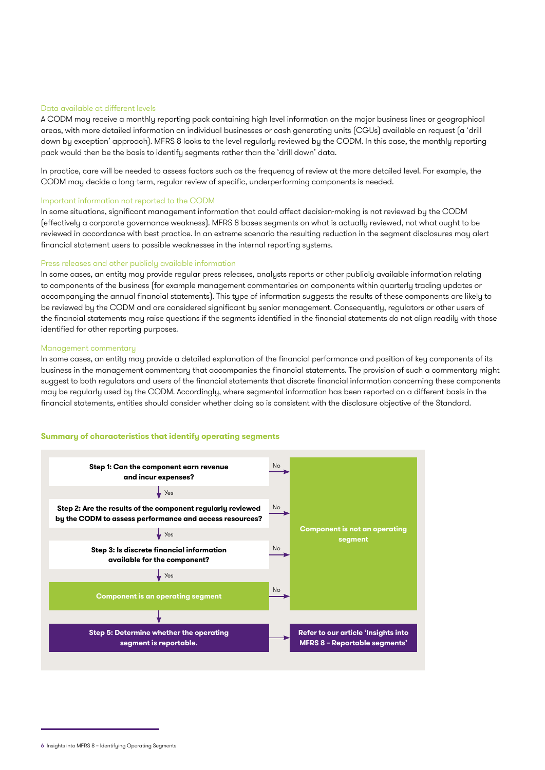#### Data available at different levels

A CODM may receive a monthly reporting pack containing high level information on the major business lines or geographical areas, with more detailed information on individual businesses or cash generating units (CGUs) available on request (a 'drill down by exception' approach). MFRS 8 looks to the level regularly reviewed by the CODM. In this case, the monthly reporting pack would then be the basis to identify segments rather than the 'drill down' data.

In practice, care will be needed to assess factors such as the frequency of review at the more detailed level. For example, the CODM may decide a long-term, regular review of specific, underperforming components is needed.

#### Important information not reported to the CODM

In some situations, significant management information that could affect decision-making is not reviewed by the CODM (effectively a corporate governance weakness). MFRS 8 bases segments on what is actually reviewed, not what ought to be reviewed in accordance with best practice. In an extreme scenario the resulting reduction in the segment disclosures may alert financial statement users to possible weaknesses in the internal reporting systems.

#### Press releases and other publicly available information

In some cases, an entity may provide regular press releases, analysts reports or other publicly available information relating to components of the business (for example management commentaries on components within quarterly trading updates or accompanying the annual financial statements). This type of information suggests the results of these components are likely to be reviewed by the CODM and are considered significant by senior management. Consequently, regulators or other users of the financial statements may raise questions if the segments identified in the financial statements do not align readily with those identified for other reporting purposes.

#### Management commentary

In some cases, an entity may provide a detailed explanation of the financial performance and position of key components of its business in the management commentary that accompanies the financial statements. The provision of such a commentary might suggest to both regulators and users of the financial statements that discrete financial information concerning these components may be regularly used by the CODM. Accordingly, where segmental information has been reported on a different basis in the financial statements, entities should consider whether doing so is consistent with the disclosure objective of the Standard.

#### **Summary of characteristics that identify operating segments**



<sup>6</sup> Insights into MFRS 8 – Identifying Operating Segments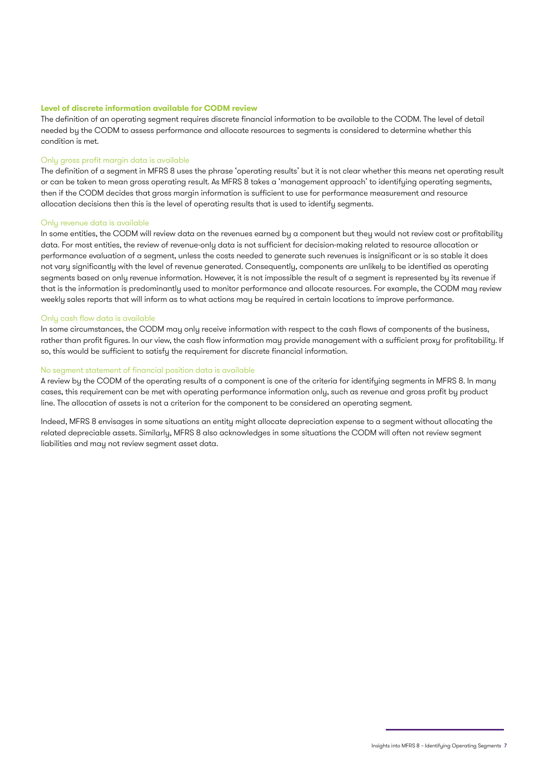#### **Level of discrete information available for CODM review**

The definition of an operating segment requires discrete financial information to be available to the CODM. The level of detail needed by the CODM to assess performance and allocate resources to segments is considered to determine whether this condition is met.

#### Only gross profit margin data is available

The definition of a segment in MFRS 8 uses the phrase 'operating results' but it is not clear whether this means net operating result or can be taken to mean gross operating result. As MFRS 8 takes a 'management approach' to identifying operating segments, then if the CODM decides that gross margin information is sufficient to use for performance measurement and resource allocation decisions then this is the level of operating results that is used to identify segments.

#### Only revenue data is available

In some entities, the CODM will review data on the revenues earned by a component but they would not review cost or profitability data. For most entities, the review of revenue-only data is not sufficient for decision-making related to resource allocation or performance evaluation of a segment, unless the costs needed to generate such revenues is insignificant or is so stable it does not vary significantly with the level of revenue generated. Consequently, components are unlikely to be identified as operating segments based on only revenue information. However, it is not impossible the result of a segment is represented by its revenue if that is the information is predominantly used to monitor performance and allocate resources. For example, the CODM may review weekly sales reports that will inform as to what actions may be required in certain locations to improve performance.

#### Only cash flow data is available

In some circumstances, the CODM may only receive information with respect to the cash flows of components of the business, rather than profit figures. In our view, the cash flow information may provide management with a sufficient proxy for profitability. If so, this would be sufficient to satisfy the requirement for discrete financial information.

#### No segment statement of financial position data is available

A review by the CODM of the operating results of a component is one of the criteria for identifying segments in MFRS 8. In many cases, this requirement can be met with operating performance information only, such as revenue and gross profit by product line. The allocation of assets is not a criterion for the component to be considered an operating segment.

Indeed, MFRS 8 envisages in some situations an entity might allocate depreciation expense to a segment without allocating the related depreciable assets. Similarly, MFRS 8 also acknowledges in some situations the CODM will often not review segment liabilities and may not review segment asset data.

Insights into MFRS 8 – Identifying Operating Segments 7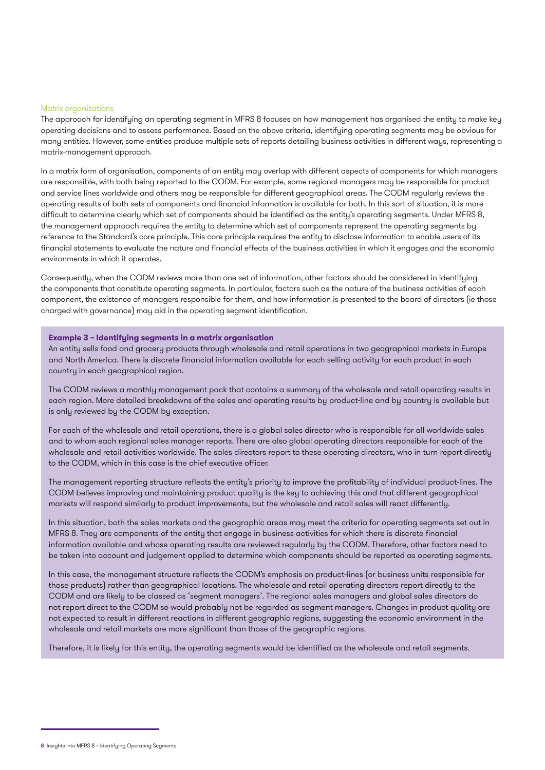#### Matrix organisations

The approach for identifying an operating segment in MFRS 8 focuses on how management has organised the entity to make key operating decisions and to assess performance. Based on the above criteria, identifying operating segments may be obvious for many entities. However, some entities produce multiple sets of reports detailing business activities in different ways, representing a matrix-management approach.

In a matrix form of organisation, components of an entity may overlap with different aspects of components for which managers are responsible, with both being reported to the CODM. For example, some regional managers may be responsible for product and service lines worldwide and others may be responsible for different geographical areas. The CODM regularly reviews the operating results of both sets of components and financial information is available for both. In this sort of situation, it is more difficult to determine clearly which set of components should be identified as the entity's operating segments. Under MFRS 8, the management approach requires the entity to determine which set of components represent the operating segments by reference to the Standard's core principle. This core principle requires the entity to disclose information to enable users of its financial statements to evaluate the nature and financial effects of the business activities in which it engages and the economic environments in which it operates.

Consequently, when the CODM reviews more than one set of information, other factors should be considered in identifying the components that constitute operating segments. In particular, factors such as the nature of the business activities of each component, the existence of managers responsible for them, and how information is presented to the board of directors (ie those charged with governance) may aid in the operating segment identification.

#### **Example 3 – Identifying segments in a matrix organisation**

An entity sells food and grocery products through wholesale and retail operations in two geographical markets in Europe and North America. There is discrete financial information available for each selling activity for each product in each country in each geographical region.

The CODM reviews a monthly management pack that contains a summary of the wholesale and retail operating results in each region. More detailed breakdowns of the sales and operating results by product-line and by country is available but is only reviewed by the CODM by exception.

For each of the wholesale and retail operations, there is a global sales director who is responsible for all worldwide sales and to whom each regional sales manager reports. There are also global operating directors responsible for each of the wholesale and retail activities worldwide. The sales directors report to these operating directors, who in turn report directly to the CODM, which in this case is the chief executive officer.

The management reporting structure reflects the entity's priority to improve the profitability of individual product-lines. The CODM believes improving and maintaining product quality is the key to achieving this and that different geographical markets will respond similarly to product improvements, but the wholesale and retail sales will react differently.

In this situation, both the sales markets and the geographic areas may meet the criteria for operating segments set out in MFRS 8. They are components of the entity that engage in business activities for which there is discrete financial information available and whose operating results are reviewed regularly by the CODM. Therefore, other factors need to be taken into account and judgement applied to determine which components should be reported as operating segments.

In this case, the management structure reflects the CODM's emphasis on product-lines (or business units responsible for those products) rather than geographical locations. The wholesale and retail operating directors report directly to the CODM and are likely to be classed as 'segment managers'. The regional sales managers and global sales directors do not report direct to the CODM so would probably not be regarded as segment managers. Changes in product quality are not expected to result in different reactions in different geographic regions, suggesting the economic environment in the wholesale and retail markets are more significant than those of the geographic regions.

Therefore, it is likely for this entity, the operating segments would be identified as the wholesale and retail segments.

<sup>8</sup> Insights into MFRS 8 – Identifying Operating Segments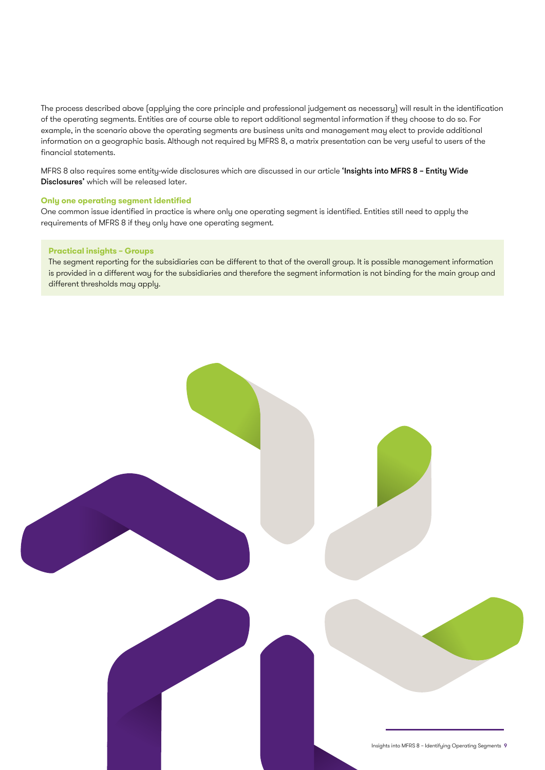The process described above (applying the core principle and professional judgement as necessary) will result in the identification of the operating segments. Entities are of course able to report additional segmental information if they choose to do so. For example, in the scenario above the operating segments are business units and management may elect to provide additional information on a geographic basis. Although not required by MFRS 8, a matrix presentation can be very useful to users of the financial statements.

MFRS 8 also requires some entity-wide disclosures which are discussed in our article 'Insights into MFRS 8 - Entity Wide Disclosures' which will be released later.

#### **Only one operating segment identified**

One common issue identified in practice is where only one operating segment is identified. Entities still need to apply the requirements of MFRS 8 if they only have one operating segment.

#### **Practical insights – Groups**

The segment reporting for the subsidiaries can be different to that of the overall group. It is possible management information is provided in a different way for the subsidiaries and therefore the segment information is not binding for the main group and different thresholds may apply.